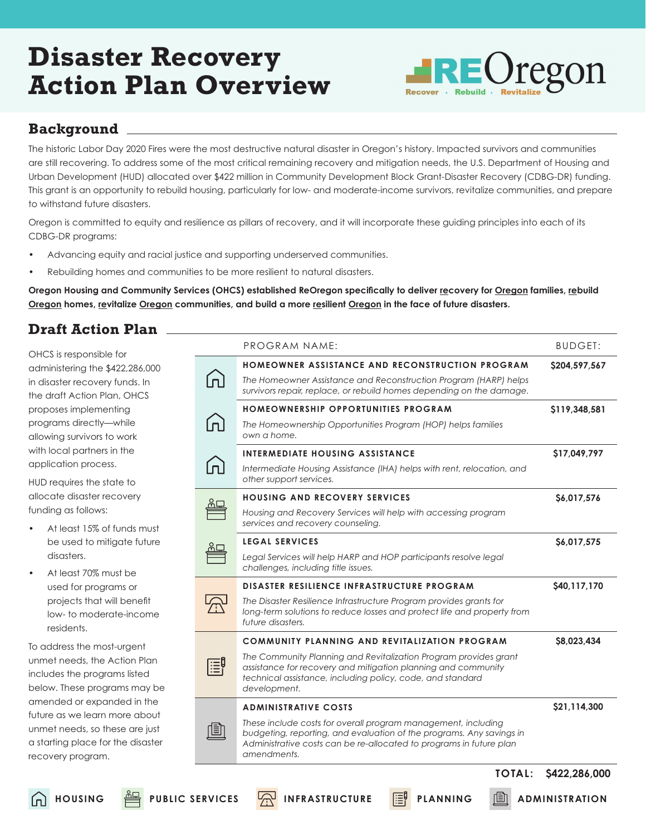## **Disaster Recovery Action Plan Overview**



### **Background**

The historic Labor Day 2020 Fires were the most destructive natural disaster in Oregon's history. Impacted survivors and communities are still recovering. To address some of the most critical remaining recovery and mitigation needs, the U.S. Department of Housing and Urban Development (HUD) allocated over \$422 million in Community Development Block Grant-Disaster Recovery (CDBG-DR) funding. This grant is an opportunity to rebuild housing, particularly for low- and moderate-income survivors, revitalize communities, and prepare to withstand future disasters.

Oregon is committed to equity and resilience as pillars of recovery, and it will incorporate these guiding principles into each of its CDBG-DR programs:

- Advancing equity and racial justice and supporting underserved communities.
- Rebuilding homes and communities to be more resilient to natural disasters.

**Oregon Housing and Community Services (OHCS) established ReOregon specifically to deliver recovery for Oregon families, rebuild Oregon homes, revitalize Oregon communities, and build a more resilient Oregon in the face of future disasters.** 

**HOUSING PUBLIC SERVICES A** INFRASTRUCTURE **FO** PLANNING **A** ADMINISTRATION

## **Draft Action Plan**

OHCS is responsible for administering the \$422,286,000 in disaster recovery funds. In the draft Action Plan, OHCS proposes implementing programs directly—while allowing survivors to work with local partners in the application process.

HUD requires the state to allocate disaster recovery funding as follows:

- At least 15% of funds must be used to mitigate future disasters.
- At least 70% must be used for programs or projects that will benefit low- to moderate-income residents.

To address the most-urgent unmet needs, the Action Plan includes the programs listed below. These programs may be amended or expanded in the future as we learn more about unmet needs, so these are just a starting place for the disaster recovery program.

|  | PROGRAM NAME:                                                                                                                                                                                                               | <b>BUDGET:</b> |
|--|-----------------------------------------------------------------------------------------------------------------------------------------------------------------------------------------------------------------------------|----------------|
|  | <b>HOMEOWNER ASSISTANCE AND RECONSTRUCTION PROGRAM</b>                                                                                                                                                                      | \$204,597,567  |
|  | The Homeowner Assistance and Reconstruction Program (HARP) helps<br>survivors repair, replace, or rebuild homes depending on the damage.                                                                                    |                |
|  | <b>HOMEOWNERSHIP OPPORTUNITIES PROGRAM</b>                                                                                                                                                                                  | \$119,348,581  |
|  | The Homeownership Opportunities Program (HOP) helps families<br>own a home.                                                                                                                                                 |                |
|  | INTERMEDIATE HOUSING ASSISTANCE                                                                                                                                                                                             | \$17,049,797   |
|  | Intermediate Housing Assistance (IHA) helps with rent, relocation, and<br>other support services.                                                                                                                           |                |
|  | <b>HOUSING AND RECOVERY SERVICES</b>                                                                                                                                                                                        | \$6,017,576    |
|  | Housing and Recovery Services will help with accessing program<br>services and recovery counseling.                                                                                                                         |                |
|  | <b>LEGAL SERVICES</b>                                                                                                                                                                                                       | \$6,017,575    |
|  | Legal Services will help HARP and HOP participants resolve legal<br>challenges, including title issues.                                                                                                                     |                |
|  | <b>DISASTER RESILIENCE INFRASTRUCTURE PROGRAM</b>                                                                                                                                                                           | \$40,117,170   |
|  | The Disaster Resilience Infrastructure Program provides grants for<br>long-term solutions to reduce losses and protect life and property from<br>future disasters.                                                          |                |
|  | COMMUNITY PLANNING AND REVITALIZATION PROGRAM                                                                                                                                                                               | \$8.023.434    |
|  | The Community Planning and Revitalization Program provides grant<br>assistance for recovery and mitigation planning and community<br>technical assistance, including policy, code, and standard<br>development.             |                |
|  | <b>ADMINISTRATIVE COSTS</b>                                                                                                                                                                                                 | \$21,114,300   |
|  | These include costs for overall program management, including<br>budgeting, reporting, and evaluation of the programs. Any savings in<br>Administrative costs can be re-allocated to programs in future plan<br>amendments. |                |
|  | <b>TOTAL:</b>                                                                                                                                                                                                               | \$422,286,000  |
|  |                                                                                                                                                                                                                             |                |